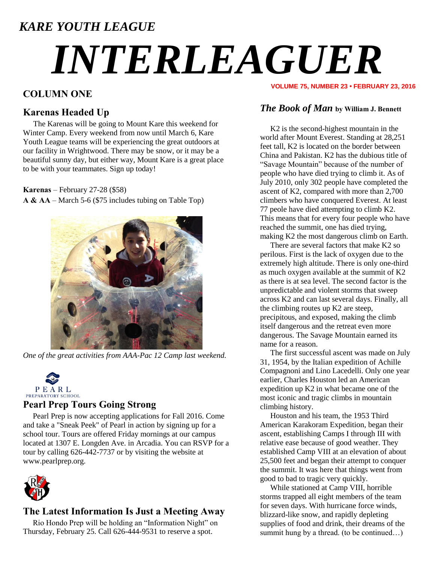### *KARE YOUTH LEAGUE*

# *INTERLEAGUER*

#### **COLUMN ONE**

#### **Karenas Headed Up**

The Karenas will be going to Mount Kare this weekend for Winter Camp. Every weekend from now until March 6, Kare Youth League teams will be experiencing the great outdoors at our facility in Wrightwood. There may be snow, or it may be a beautiful sunny day, but either way, Mount Kare is a great place to be with your teammates. Sign up today!

**Karenas** – February 27-28 (\$58)

**A & AA** – March 5-6 (\$75 includes tubing on Table Top)



*One of the great activities from AAA-Pac 12 Camp last weekend.*



#### **Pearl Prep Tours Going Strong**

 Pearl Prep is now accepting applications for Fall 2016. Come and take a "Sneak Peek" of Pearl in action by signing up for a school tour. Tours are offered Friday mornings at our campus located at 1307 E. Longden Ave. in Arcadia. You can RSVP for a tour by calling 626-442-7737 or by visiting the website at www.pearlprep.org.



#### **The Latest Information Is Just a Meeting Away**

 Rio Hondo Prep will be holding an "Information Night" on Thursday, February 25. Call 626-444-9531 to reserve a spot.

#### **VOLUME 75, NUMBER 23 • FEBRUARY 23, 2016**

#### *The Book of Man* **by William J. Bennett**

K2 is the second-highest mountain in the world after Mount Everest. Standing at 28,251 feet tall, K2 is located on the border between China and Pakistan. K2 has the dubious title of "Savage Mountain" because of the number of people who have died trying to climb it. As of July 2010, only 302 people have completed the ascent of K2, compared with more than 2,700 climbers who have conquered Everest. At least 77 peole have died attempting to climb K2. This means that for every four people who have reached the summit, one has died trying, making K2 the most dangerous climb on Earth.

There are several factors that make K2 so perilous. First is the lack of oxygen due to the extremely high altitude. There is only one-third as much oxygen available at the summit of K2 as there is at sea level. The second factor is the unpredictable and violent storms that sweep across K2 and can last several days. Finally, all the climbing routes up K2 are steep, precipitous, and exposed, making the climb itself dangerous and the retreat even more dangerous. The Savage Mountain earned its name for a reason.

The first successful ascent was made on July 31, 1954, by the Italian expedition of Achille Compagnoni and Lino Lacedelli. Only one year earlier, Charles Houston led an American expedition up K2 in what became one of the most iconic and tragic climbs in mountain climbing history.

Houston and his team, the 1953 Third American Karakoram Expedition, began their ascent, establishing Camps I through III with relative ease because of good weather. They established Camp VIII at an elevation of about 25,500 feet and began their attempt to conquer the summit. It was here that things went from good to bad to tragic very quickly.

While stationed at Camp VIII, horrible storms trapped all eight members of the team for seven days. With hurricane force winds, blizzard-like snow, and rapidly depleting supplies of food and drink, their dreams of the summit hung by a thread. (to be continued...)